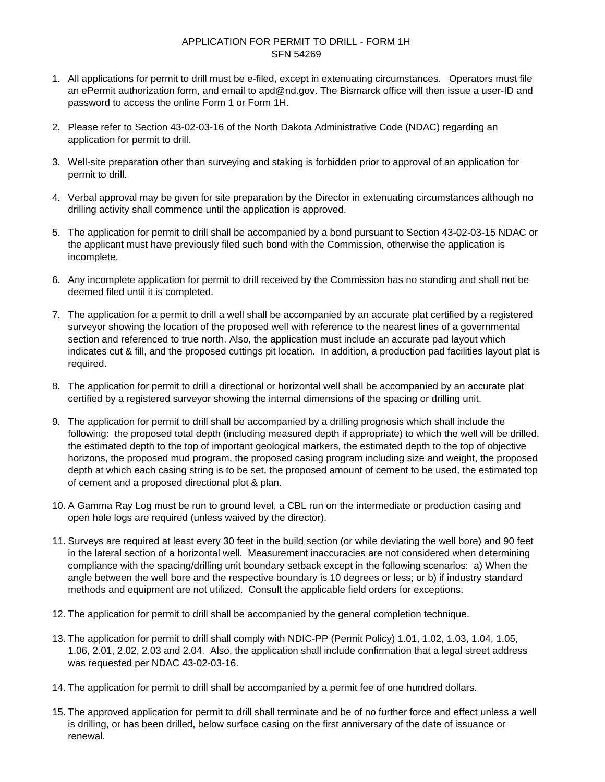## SFN 54269 APPLICATION FOR PERMIT TO DRILL - FORM 1H

- 1. All applications for permit to drill must be e-filed, except in extenuating circumstances. Operators must file an ePermit authorization form, and email to apd@nd.gov. The Bismarck office will then issue a user-ID and password to access the online Form 1 or Form 1H.
- 2. Please refer to Section 43-02-03-16 of the North Dakota Administrative Code (NDAC) regarding an application for permit to drill.
- 3. Well-site preparation other than surveying and staking is forbidden prior to approval of an application for permit to drill.
- 4. Verbal approval may be given for site preparation by the Director in extenuating circumstances although no drilling activity shall commence until the application is approved.
- 5. The application for permit to drill shall be accompanied by a bond pursuant to Section 43-02-03-15 NDAC or the applicant must have previously filed such bond with the Commission, otherwise the application is incomplete.
- 6. Any incomplete application for permit to drill received by the Commission has no standing and shall not be deemed filed until it is completed.
- 7. The application for a permit to drill a well shall be accompanied by an accurate plat certified by a registered surveyor showing the location of the proposed well with reference to the nearest lines of a governmental section and referenced to true north. Also, the application must include an accurate pad layout which indicates cut & fill, and the proposed cuttings pit location. In addition, a production pad facilities layout plat is required.
- 8. The application for permit to drill a directional or horizontal well shall be accompanied by an accurate plat certified by a registered surveyor showing the internal dimensions of the spacing or drilling unit.
- 9. The application for permit to drill shall be accompanied by a drilling prognosis which shall include the following: the proposed total depth (including measured depth if appropriate) to which the well will be drilled, the estimated depth to the top of important geological markers, the estimated depth to the top of objective horizons, the proposed mud program, the proposed casing program including size and weight, the proposed depth at which each casing string is to be set, the proposed amount of cement to be used, the estimated top of cement and a proposed directional plot & plan.
- 10. A Gamma Ray Log must be run to ground level, a CBL run on the intermediate or production casing and open hole logs are required (unless waived by the director).
- 11. Surveys are required at least every 30 feet in the build section (or while deviating the well bore) and 90 feet in the lateral section of a horizontal well. Measurement inaccuracies are not considered when determining compliance with the spacing/drilling unit boundary setback except in the following scenarios: a) When the angle between the well bore and the respective boundary is 10 degrees or less; or b) if industry standard methods and equipment are not utilized. Consult the applicable field orders for exceptions.
- 12. The application for permit to drill shall be accompanied by the general completion technique.
- 13. The application for permit to drill shall comply with NDIC-PP (Permit Policy) 1.01, 1.02, 1.03, 1.04, 1.05, 1.06, 2.01, 2.02, 2.03 and 2.04. Also, the application shall include confirmation that a legal street address was requested per NDAC 43-02-03-16.
- 14. The application for permit to drill shall be accompanied by a permit fee of one hundred dollars.
- 15. The approved application for permit to drill shall terminate and be of no further force and effect unless a well is drilling, or has been drilled, below surface casing on the first anniversary of the date of issuance or renewal.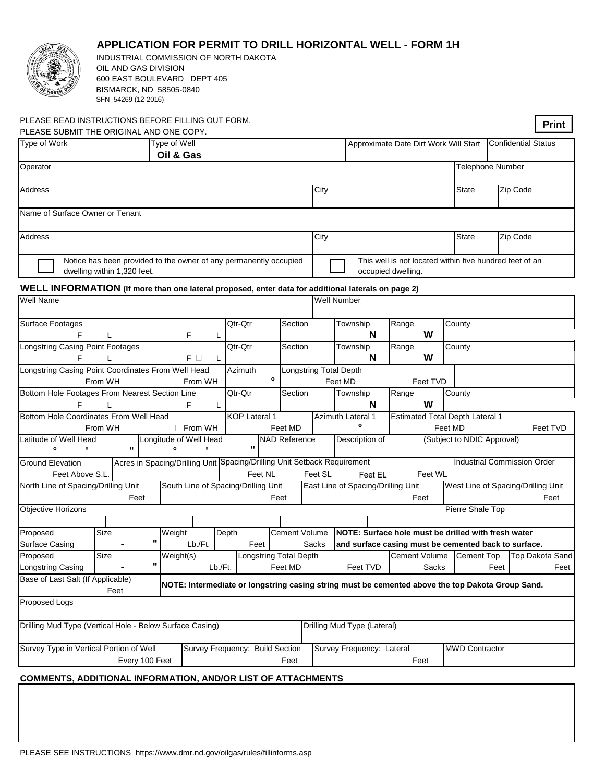

## **APPLICATION FOR PERMIT TO DRILL HORIZONTAL WELL - FORM 1H**

INDUSTRIAL COMMISSION OF NORTH DAKOTA OIL AND GAS DIVISION 600 EAST BOULEVARD DEPT 405 BISMARCK, ND 58505-0840 SFN 54269 (12-2016)

| PLEASE READ INSTRUCTIONS BEFORE FILLING OUT FORM.<br>PLEASE SUBMIT THE ORIGINAL AND ONE COPY.      |                                                          |                                 |                                                                                                  |               |                               |                                    |         |                                                                     |                                                                               |                                    |                            |      |                             | Print |
|----------------------------------------------------------------------------------------------------|----------------------------------------------------------|---------------------------------|--------------------------------------------------------------------------------------------------|---------------|-------------------------------|------------------------------------|---------|---------------------------------------------------------------------|-------------------------------------------------------------------------------|------------------------------------|----------------------------|------|-----------------------------|-------|
| Type of Work                                                                                       |                                                          |                                 | Type of Well<br>Oil & Gas                                                                        |               |                               |                                    |         | Approximate Date Dirt Work Will Start<br><b>Confidential Status</b> |                                                                               |                                    |                            |      |                             |       |
| Operator                                                                                           |                                                          |                                 |                                                                                                  |               |                               |                                    |         |                                                                     |                                                                               |                                    | Telephone Number           |      |                             |       |
| <b>Address</b>                                                                                     |                                                          |                                 |                                                                                                  |               |                               |                                    | City    |                                                                     |                                                                               |                                    | State                      |      | Zip Code                    |       |
| Name of Surface Owner or Tenant                                                                    |                                                          |                                 |                                                                                                  |               |                               |                                    |         |                                                                     |                                                                               |                                    |                            |      |                             |       |
| <b>Address</b>                                                                                     |                                                          |                                 |                                                                                                  |               |                               |                                    | City    |                                                                     |                                                                               |                                    | State                      |      | Zip Code                    |       |
|                                                                                                    |                                                          | dwelling within 1,320 feet.     | Notice has been provided to the owner of any permanently occupied                                |               |                               |                                    |         |                                                                     | This well is not located within five hundred feet of an<br>occupied dwelling. |                                    |                            |      |                             |       |
| WELL INFORMATION (If more than one lateral proposed, enter data for additional laterals on page 2) |                                                          |                                 |                                                                                                  |               |                               |                                    |         |                                                                     |                                                                               |                                    |                            |      |                             |       |
| <b>Well Name</b>                                                                                   |                                                          |                                 |                                                                                                  |               |                               |                                    |         | Well Number                                                         |                                                                               |                                    |                            |      |                             |       |
| <b>Surface Footages</b><br>F                                                                       | F<br>L<br>L                                              |                                 |                                                                                                  | Qtr-Qtr       | Section                       |                                    |         | Township<br>N                                                       | Range<br>W                                                                    |                                    | County                     |      |                             |       |
| F                                                                                                  | Longstring Casing Point Footages<br>$F$ $\Box$<br>L<br>L |                                 |                                                                                                  |               | Qtr-Qtr<br>Section            |                                    |         | Township<br>N                                                       | Range<br>W                                                                    |                                    | County                     |      |                             |       |
| Longstring Casing Point Coordinates From Well Head                                                 | From WH                                                  |                                 | From WH                                                                                          | Azimuth       | 0                             |                                    |         | <b>Longstring Total Depth</b><br>Feet MD                            | Feet TVD                                                                      |                                    |                            |      |                             |       |
| Bottom Hole Footages From Nearest Section Line<br>F<br>F<br>L<br>L                                 |                                                          |                                 |                                                                                                  |               | Qtr-Qtr<br>Section            |                                    |         | Township<br>N                                                       | Range<br>W                                                                    |                                    | County                     |      |                             |       |
| Bottom Hole Coordinates From Well Head<br>From WH                                                  | $\Box$ From WH                                           | <b>KOP Lateral 1</b><br>Feet MD |                                                                                                  |               | <b>Azimuth Lateral 1</b><br>o |                                    |         | <b>Estimated Total Depth Lateral 1</b><br>Feet TVD<br>Feet MD       |                                                                               |                                    |                            |      |                             |       |
| Latitude of Well Head<br>$\bullet$<br>٠                                                            |                                                          | $\mathbf{H}$                    | Longitude of Well Head<br>$\bullet$                                                              | $\mathbf{H}$  |                               | <b>NAD Reference</b>               |         | Description of                                                      |                                                                               |                                    | (Subject to NDIC Approval) |      |                             |       |
| <b>Ground Elevation</b>                                                                            |                                                          |                                 | Acres in Spacing/Drilling Unit Spacing/Drilling Unit Setback Requirement                         |               |                               |                                    |         |                                                                     |                                                                               |                                    |                            |      | Industrial Commission Order |       |
| Feet Above S.L                                                                                     |                                                          |                                 |                                                                                                  |               | Feet NL                       |                                    | Feet SL | Feet EL                                                             | Feet WL                                                                       |                                    |                            |      |                             |       |
| North Line of Spacing/Drilling Unit                                                                | South Line of Spacing/Drilling Unit                      |                                 |                                                                                                  |               |                               | East Line of Spacing/Drilling Unit |         |                                                                     |                                                                               | West Line of Spacing/Drilling Unit |                            |      |                             |       |
| <b>Objective Horizons</b>                                                                          |                                                          |                                 | Feet<br>Feet<br>Feet<br>Pierre Shale Top                                                         |               |                               |                                    |         |                                                                     | Feet                                                                          |                                    |                            |      |                             |       |
|                                                                                                    |                                                          |                                 |                                                                                                  |               |                               | Cement Volume                      |         |                                                                     | NOTE: Surface hole must be drilled with fresh water                           |                                    |                            |      |                             |       |
| Proposed<br><b>Surface Casing</b>                                                                  | Size                                                     | п                               | Weight<br>Lb./Ft.                                                                                | Depth<br>Feet |                               |                                    | Sacks   |                                                                     | and surface casing must be cemented back to surface.                          |                                    |                            |      |                             |       |
| Proposed                                                                                           | Size                                                     |                                 | Weight(s)                                                                                        |               |                               | <b>Longstring Total Depth</b>      |         |                                                                     | Cement Volume                                                                 |                                    | <b>Cement Top</b>          |      | Top Dakota Sand             |       |
| <b>Longstring Casing</b>                                                                           |                                                          | $\mathbf{u}$                    |                                                                                                  | Lb./Ft.       |                               | Feet MD                            |         | Feet TVD                                                            |                                                                               | Sacks                              |                            | Feet |                             | Feet  |
| Base of Last Salt (If Applicable)                                                                  |                                                          | Feet                            | NOTE: Intermediate or longstring casing string must be cemented above the top Dakota Group Sand. |               |                               |                                    |         |                                                                     |                                                                               |                                    |                            |      |                             |       |
| Proposed Logs                                                                                      |                                                          |                                 |                                                                                                  |               |                               |                                    |         |                                                                     |                                                                               |                                    |                            |      |                             |       |
| Drilling Mud Type (Vertical Hole - Below Surface Casing)                                           |                                                          |                                 |                                                                                                  |               |                               |                                    |         | Drilling Mud Type (Lateral)                                         |                                                                               |                                    |                            |      |                             |       |
| Survey Type in Vertical Portion of Well                                                            |                                                          | Survey Frequency: Build Section |                                                                                                  |               | Survey Frequency: Lateral     | <b>MWD Contractor</b>              |         |                                                                     |                                                                               |                                    |                            |      |                             |       |
|                                                                                                    | Feet                                                     |                                 |                                                                                                  |               | Feet                          |                                    |         |                                                                     |                                                                               |                                    |                            |      |                             |       |
| <b>COMMENTS, ADDITIONAL INFORMATION, AND/OR LIST OF ATTACHMENTS</b>                                |                                                          |                                 |                                                                                                  |               |                               |                                    |         |                                                                     |                                                                               |                                    |                            |      |                             |       |
|                                                                                                    |                                                          |                                 |                                                                                                  |               |                               |                                    |         |                                                                     |                                                                               |                                    |                            |      |                             |       |
|                                                                                                    |                                                          |                                 |                                                                                                  |               |                               |                                    |         |                                                                     |                                                                               |                                    |                            |      |                             |       |